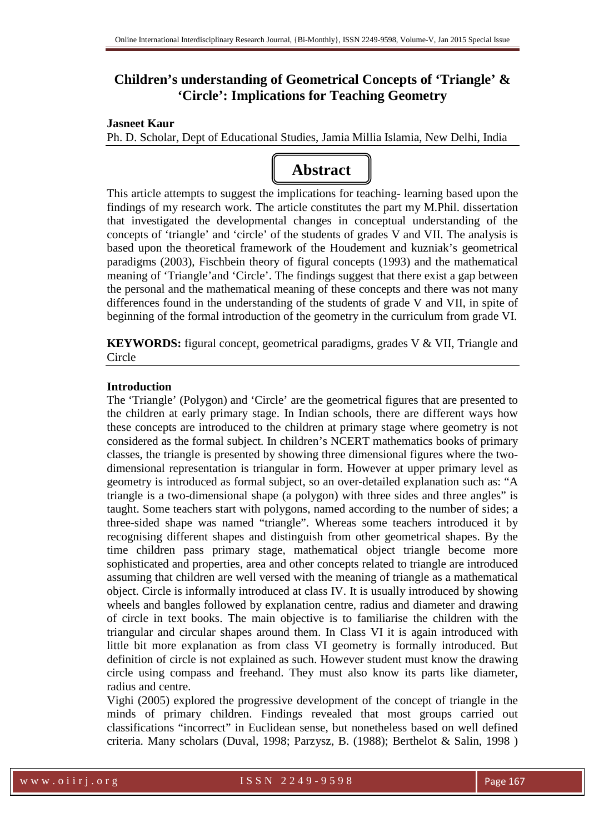# **Children's understanding of Geometrical Concepts of 'Triangle' & 'Circle': Implications for Teaching Geometry**

## **Jasneet Kaur**

Ph. D. Scholar, Dept of Educational Studies, Jamia Millia Islamia, New Delhi, India



This article attempts to suggest the implications for teaching- learning based upon the findings of my research work. The article constitutes the part my M.Phil. dissertation that investigated the developmental changes in conceptual understanding of the concepts of 'triangle' and 'circle' of the students of grades V and VII. The analysis is based upon the theoretical framework of the Houdement and kuzniak's geometrical paradigms (2003), Fischbein theory of figural concepts (1993) and the mathematical meaning of 'Triangle'and 'Circle'. The findings suggest that there exist a gap between the personal and the mathematical meaning of these concepts and there was not many differences found in the understanding of the students of grade V and VII, in spite of beginning of the formal introduction of the geometry in the curriculum from grade VI.

**KEYWORDS:** figural concept, geometrical paradigms, grades V & VII, Triangle and Circle

## **Introduction**

The 'Triangle' (Polygon) and 'Circle' are the geometrical figures that are presented to the children at early primary stage. In Indian schools, there are different ways how these concepts are introduced to the children at primary stage where geometry is not considered as the formal subject. In children's NCERT mathematics books of primary classes, the triangle is presented by showing three dimensional figures where the twodimensional representation is triangular in form. However at upper primary level as geometry is introduced as formal subject, so an over-detailed explanation such as: "A triangle is a two-dimensional shape (a polygon) with three sides and three angles" is taught. Some teachers start with polygons, named according to the number of sides; a three-sided shape was named "triangle". Whereas some teachers introduced it by recognising different shapes and distinguish from other geometrical shapes. By the time children pass primary stage, mathematical object triangle become more sophisticated and properties, area and other concepts related to triangle are introduced assuming that children are well versed with the meaning of triangle as a mathematical object. Circle is informally introduced at class IV. It is usually introduced by showing wheels and bangles followed by explanation centre, radius and diameter and drawing of circle in text books. The main objective is to familiarise the children with the triangular and circular shapes around them. In Class VI it is again introduced with little bit more explanation as from class VI geometry is formally introduced. But definition of circle is not explained as such. However student must know the drawing circle using compass and freehand. They must also know its parts like diameter, radius and centre.

Vighi (2005) explored the progressive development of the concept of triangle in the minds of primary children. Findings revealed that most groups carried out classifications "incorrect" in Euclidean sense, but nonetheless based on well defined criteria. Many scholars (Duval, 1998; Parzysz, B. (1988); Berthelot & Salin, 1998 )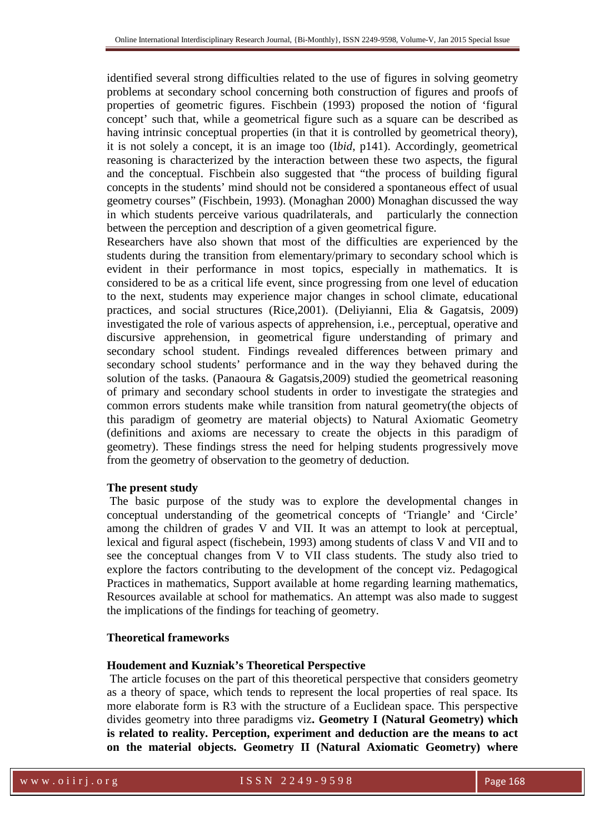identified several strong difficulties related to the use of figures in solving geometry problems at secondary school concerning both construction of figures and proofs of properties of geometric figures. Fischbein (1993) proposed the notion of 'figural concept' such that, while a geometrical figure such as a square can be described as having intrinsic conceptual properties (in that it is controlled by geometrical theory), it is not solely a concept, it is an image too (I*bid*, p141). Accordingly, geometrical reasoning is characterized by the interaction between these two aspects, the figural and the conceptual. Fischbein also suggested that "the process of building figural concepts in the students' mind should not be considered a spontaneous effect of usual geometry courses" (Fischbein, 1993). (Monaghan 2000) Monaghan discussed the way in which students perceive various quadrilaterals, and particularly the connection between the perception and description of a given geometrical figure.

Researchers have also shown that most of the difficulties are experienced by the students during the transition from elementary/primary to secondary school which is evident in their performance in most topics, especially in mathematics. It is considered to be as a critical life event, since progressing from one level of education to the next, students may experience major changes in school climate, educational practices, and social structures (Rice,2001). (Deliyianni, Elia & Gagatsis, 2009) investigated the role of various aspects of apprehension, i.e., perceptual, operative and discursive apprehension, in geometrical figure understanding of primary and secondary school student. Findings revealed differences between primary and secondary school students' performance and in the way they behaved during the solution of the tasks. (Panaoura & Gagatsis,2009) studied the geometrical reasoning of primary and secondary school students in order to investigate the strategies and common errors students make while transition from natural geometry(the objects of this paradigm of geometry are material objects) to Natural Axiomatic Geometry (definitions and axioms are necessary to create the objects in this paradigm of geometry). These findings stress the need for helping students progressively move from the geometry of observation to the geometry of deduction*.*

#### **The present study**

 The basic purpose of the study was to explore the developmental changes in conceptual understanding of the geometrical concepts of 'Triangle' and 'Circle' among the children of grades V and VII. It was an attempt to look at perceptual, lexical and figural aspect (fischebein, 1993) among students of class V and VII and to see the conceptual changes from V to VII class students. The study also tried to explore the factors contributing to the development of the concept viz. Pedagogical Practices in mathematics, Support available at home regarding learning mathematics, Resources available at school for mathematics. An attempt was also made to suggest the implications of the findings for teaching of geometry.

### **Theoretical frameworks**

## **Houdement and Kuzniak's Theoretical Perspective**

The article focuses on the part of this theoretical perspective that considers geometry as a theory of space, which tends to represent the local properties of real space. Its more elaborate form is R3 with the structure of a Euclidean space. This perspective divides geometry into three paradigms viz**. Geometry I (Natural Geometry) which is related to reality. Perception, experiment and deduction are the means to act on the material objects. Geometry II (Natural Axiomatic Geometry) where**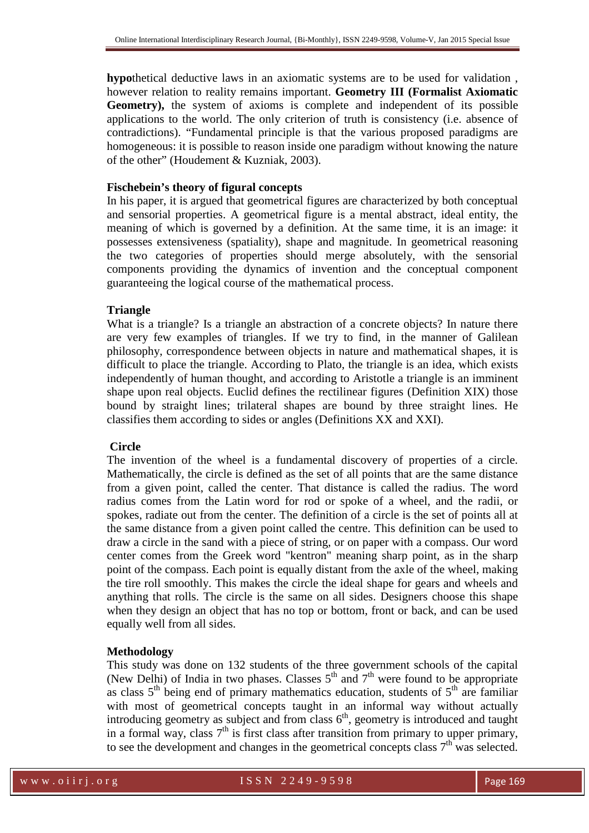**hypo**thetical deductive laws in an axiomatic systems are to be used for validation , however relation to reality remains important. **Geometry III (Formalist Axiomatic Geometry),** the system of axioms is complete and independent of its possible applications to the world. The only criterion of truth is consistency (i.e. absence of contradictions). "Fundamental principle is that the various proposed paradigms are homogeneous: it is possible to reason inside one paradigm without knowing the nature of the other" (Houdement & Kuzniak, 2003).

#### **Fischebein's theory of figural concepts**

In his paper, it is argued that geometrical figures are characterized by both conceptual and sensorial properties. A geometrical figure is a mental abstract, ideal entity, the meaning of which is governed by a definition. At the same time, it is an image: it possesses extensiveness (spatiality), shape and magnitude. In geometrical reasoning the two categories of properties should merge absolutely, with the sensorial components providing the dynamics of invention and the conceptual component guaranteeing the logical course of the mathematical process.

#### **Triangle**

What is a triangle? Is a triangle an abstraction of a concrete objects? In nature there are very few examples of triangles. If we try to find, in the manner of Galilean philosophy, correspondence between objects in nature and mathematical shapes, it is difficult to place the triangle. According to Plato, the triangle is an idea, which exists independently of human thought, and according to Aristotle a triangle is an imminent shape upon real objects. Euclid defines the rectilinear figures (Definition XIX) those bound by straight lines; trilateral shapes are bound by three straight lines. He classifies them according to sides or angles (Definitions XX and XXI).

#### **Circle**

The invention of the wheel is a fundamental discovery of properties of a circle. Mathematically, the circle is defined as the set of all points that are the same distance from a given point, called the center. That distance is called the radius. The word radius comes from the Latin word for rod or spoke of a wheel, and the radii, or spokes, radiate out from the center. The definition of a circle is the set of points all at the same distance from a given point called the centre. This definition can be used to draw a circle in the sand with a piece of string, or on paper with a compass. Our word center comes from the Greek word "kentron" meaning sharp point, as in the sharp point of the compass. Each point is equally distant from the axle of the wheel, making the tire roll smoothly. This makes the circle the ideal shape for gears and wheels and anything that rolls. The circle is the same on all sides. Designers choose this shape when they design an object that has no top or bottom, front or back, and can be used equally well from all sides.

#### **Methodology**

This study was done on 132 students of the three government schools of the capital (New Delhi) of India in two phases. Classes  $5<sup>th</sup>$  and  $7<sup>th</sup>$  were found to be appropriate as class  $5<sup>th</sup>$  being end of primary mathematics education, students of  $5<sup>th</sup>$  are familiar with most of geometrical concepts taught in an informal way without actually introducing geometry as subject and from class  $6<sup>th</sup>$ , geometry is introduced and taught in a formal way, class  $7<sup>th</sup>$  is first class after transition from primary to upper primary, to see the development and changes in the geometrical concepts class  $7<sup>th</sup>$  was selected.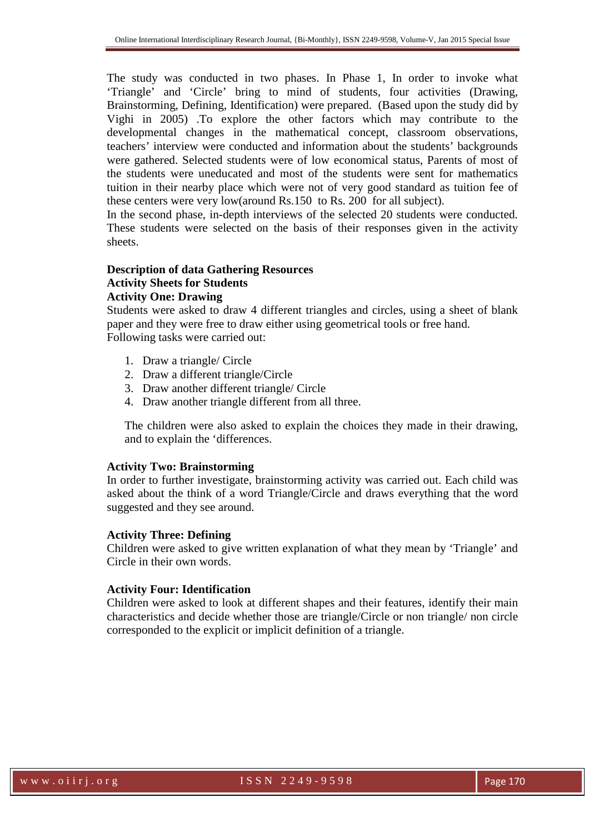The study was conducted in two phases. In Phase 1, In order to invoke what 'Triangle' and 'Circle' bring to mind of students, four activities (Drawing, Brainstorming, Defining, Identification) were prepared. (Based upon the study did by Vighi in 2005) .To explore the other factors which may contribute to the developmental changes in the mathematical concept, classroom observations, teachers' interview were conducted and information about the students' backgrounds were gathered. Selected students were of low economical status, Parents of most of the students were uneducated and most of the students were sent for mathematics tuition in their nearby place which were not of very good standard as tuition fee of these centers were very low(around Rs.150 to Rs. 200 for all subject).

In the second phase, in-depth interviews of the selected 20 students were conducted. These students were selected on the basis of their responses given in the activity sheets.

## **Description of data Gathering Resources Activity Sheets for Students Activity One: Drawing**

Students were asked to draw 4 different triangles and circles, using a sheet of blank paper and they were free to draw either using geometrical tools or free hand. Following tasks were carried out:

- 1. Draw a triangle/ Circle
- 2. Draw a different triangle/Circle
- 3. Draw another different triangle/ Circle
- 4. Draw another triangle different from all three.

The children were also asked to explain the choices they made in their drawing, and to explain the 'differences.

#### **Activity Two: Brainstorming**

In order to further investigate, brainstorming activity was carried out. Each child was asked about the think of a word Triangle/Circle and draws everything that the word suggested and they see around.

#### **Activity Three: Defining**

Children were asked to give written explanation of what they mean by 'Triangle' and Circle in their own words.

#### **Activity Four: Identification**

Children were asked to look at different shapes and their features, identify their main characteristics and decide whether those are triangle/Circle or non triangle/ non circle corresponded to the explicit or implicit definition of a triangle.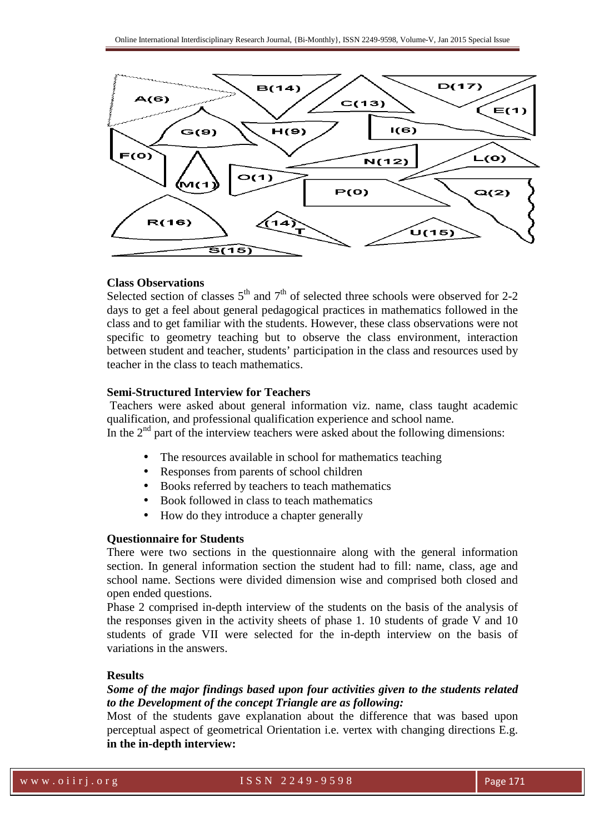

#### **Class Observations**

Selected section of classes  $5<sup>th</sup>$  and  $7<sup>th</sup>$  of selected three schools were observed for 2-2 days to get a feel about general pedagogical practices in mathematics followed in the class and to get familiar with the students. However, these class observations were not specific to geometry teaching but to observe the class environment, interaction between student and teacher, students' participation in the class and resources used by teacher in the class to teach mathematics.

#### **Semi-Structured Interview for Teachers**

 Teachers were asked about general information viz. name, class taught academic qualification, and professional qualification experience and school name. In the  $2<sup>nd</sup>$  part of the interview teachers were asked about the following dimensions:

- The resources available in school for mathematics teaching
- Responses from parents of school children
- Books referred by teachers to teach mathematics
- Book followed in class to teach mathematics
- How do they introduce a chapter generally

#### **Questionnaire for Students**

There were two sections in the questionnaire along with the general information section. In general information section the student had to fill: name, class, age and school name. Sections were divided dimension wise and comprised both closed and open ended questions.

Phase 2 comprised in-depth interview of the students on the basis of the analysis of the responses given in the activity sheets of phase 1. 10 students of grade V and 10 students of grade VII were selected for the in-depth interview on the basis of variations in the answers.

### **Results**

# *Some of the major findings based upon four activities given to the students related to the Development of the concept Triangle are as following:*

Most of the students gave explanation about the difference that was based upon perceptual aspect of geometrical Orientation i.e. vertex with changing directions E.g. **in the in-depth interview:**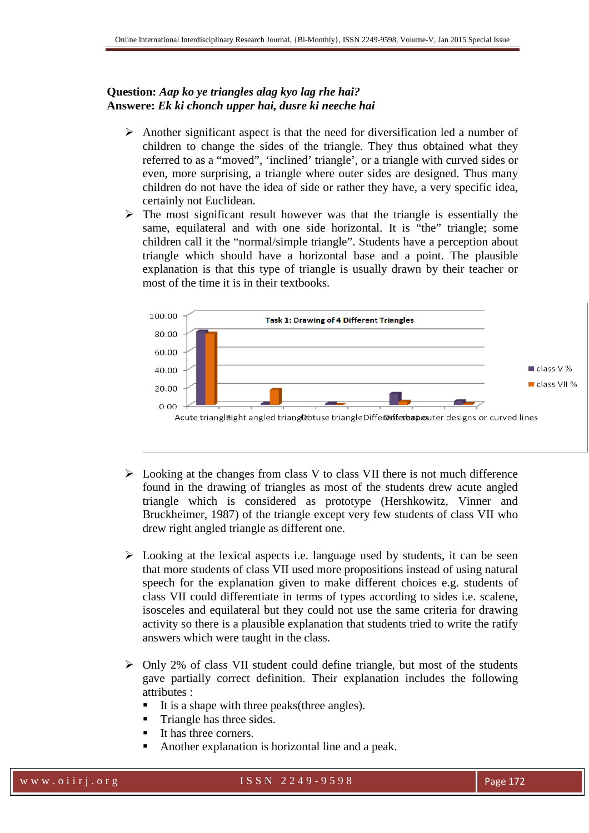# **Question:** *Aap ko ye triangles alag kyo lag rhe hai?* **Answere:** *Ek ki chonch upper hai, dusre ki neeche hai*

- $\triangleright$  Another significant aspect is that the need for diversification led a number of children to change the sides of the triangle. They thus obtained what they referred to as a "moved", 'inclined' triangle', or a triangle with curved sides or even, more surprising, a triangle where outer sides are designed. Thus many children do not have the idea of side or rather they have, a very specific idea, certainly not Euclidean.
- $\triangleright$  The most significant result however was that the triangle is essentially the same, equilateral and with one side horizontal. It is "the" triangle; some children call it the "normal/simple triangle". Students have a perception about triangle which should have a horizontal base and a point. The plausible explanation is that this type of triangle is usually drawn by their teacher or most of the time it is in their textbooks.



- $\triangleright$  Looking at the changes from class V to class VII there is not much difference found in the drawing of triangles as most of the students drew acute angled triangle which is considered as prototype (Hershkowitz, Vinner and Bruckheimer, 1987) of the triangle except very few students of class VII who drew right angled triangle as different one.
- $\triangleright$  Looking at the lexical aspects i.e. language used by students, it can be seen that more students of class VII used more propositions instead of using natural speech for the explanation given to make different choices e.g. students of class VII could differentiate in terms of types according to sides i.e. scalene, isosceles and equilateral but they could not use the same criteria for drawing activity so there is a plausible explanation that students tried to write the ratify answers which were taught in the class.
- $\triangleright$  Only 2% of class VII student could define triangle, but most of the students gave partially correct definition. Their explanation includes the following attributes :
	- -It is a shape with three peaks(three angles).
	- -Triangle has three sides.
	- -It has three corners.
	- -Another explanation is horizontal line and a peak.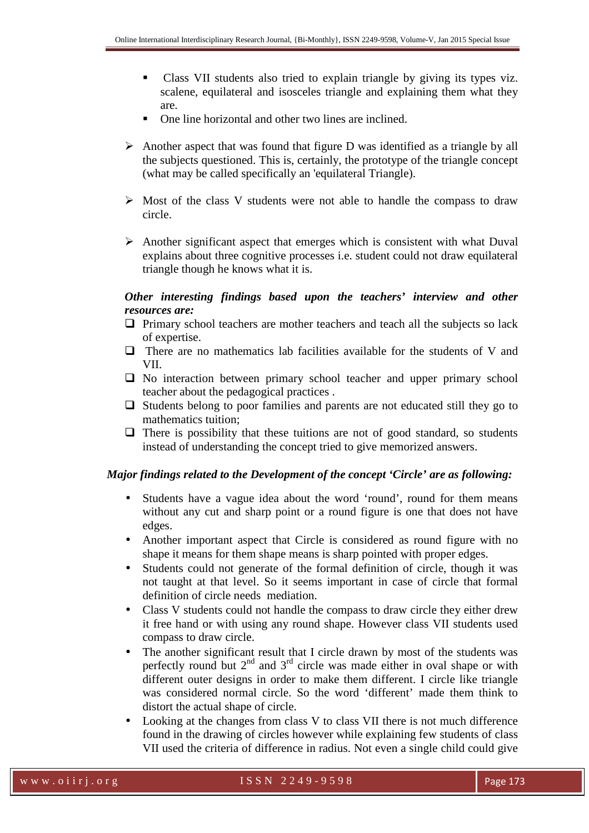- - Class VII students also tried to explain triangle by giving its types viz. scalene, equilateral and isosceles triangle and explaining them what they are.
- -One line horizontal and other two lines are inclined.
- $\triangleright$  Another aspect that was found that figure D was identified as a triangle by all the subjects questioned. This is, certainly, the prototype of the triangle concept (what may be called specifically an 'equilateral Triangle).
- $\triangleright$  Most of the class V students were not able to handle the compass to draw circle.
- $\triangleright$  Another significant aspect that emerges which is consistent with what Duval explains about three cognitive processes i.e. student could not draw equilateral triangle though he knows what it is.

# *Other interesting findings based upon the teachers' interview and other resources are:*

- $\Box$  Primary school teachers are mother teachers and teach all the subjects so lack of expertise.
- $\Box$  There are no mathematics lab facilities available for the students of V and VII.
- $\Box$  No interaction between primary school teacher and upper primary school teacher about the pedagogical practices .
- $\Box$  Students belong to poor families and parents are not educated still they go to mathematics tuition;
- $\Box$  There is possibility that these tuitions are not of good standard, so students instead of understanding the concept tried to give memorized answers.

### *Major findings related to the Development of the concept 'Circle' are as following:*

- Students have a vague idea about the word 'round', round for them means without any cut and sharp point or a round figure is one that does not have edges.
- Another important aspect that Circle is considered as round figure with no shape it means for them shape means is sharp pointed with proper edges.
- Students could not generate of the formal definition of circle, though it was not taught at that level. So it seems important in case of circle that formal definition of circle needs mediation.
- Class V students could not handle the compass to draw circle they either drew it free hand or with using any round shape. However class VII students used compass to draw circle.
- The another significant result that I circle drawn by most of the students was perfectly round but  $2<sup>nd</sup>$  and  $3<sup>rd</sup>$  circle was made either in oval shape or with different outer designs in order to make them different. I circle like triangle was considered normal circle. So the word 'different' made them think to distort the actual shape of circle.
- Looking at the changes from class V to class VII there is not much difference found in the drawing of circles however while explaining few students of class VII used the criteria of difference in radius. Not even a single child could give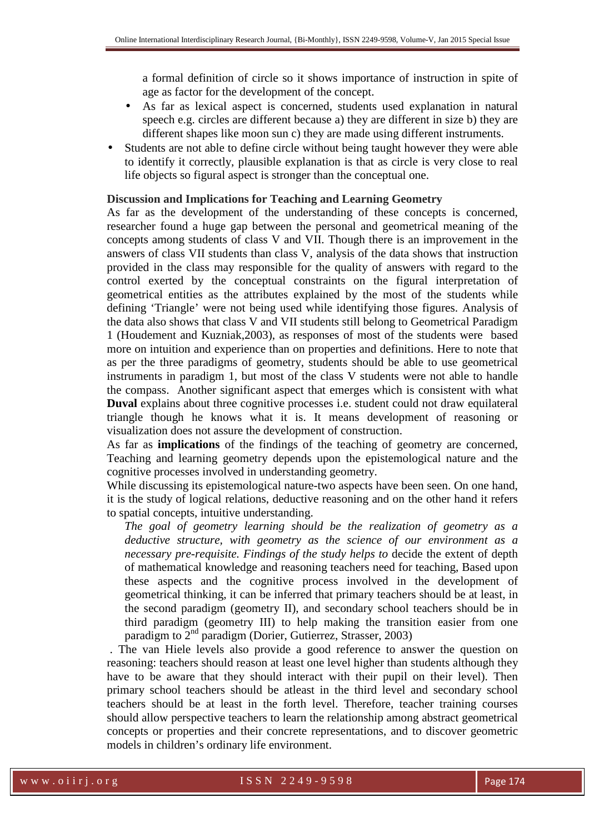a formal definition of circle so it shows importance of instruction in spite of age as factor for the development of the concept.

- As far as lexical aspect is concerned, students used explanation in natural speech e.g. circles are different because a) they are different in size b) they are different shapes like moon sun c) they are made using different instruments.
- Students are not able to define circle without being taught however they were able to identify it correctly, plausible explanation is that as circle is very close to real life objects so figural aspect is stronger than the conceptual one.

#### **Discussion and Implications for Teaching and Learning Geometry**

As far as the development of the understanding of these concepts is concerned, researcher found a huge gap between the personal and geometrical meaning of the concepts among students of class V and VII. Though there is an improvement in the answers of class VII students than class V, analysis of the data shows that instruction provided in the class may responsible for the quality of answers with regard to the control exerted by the conceptual constraints on the figural interpretation of geometrical entities as the attributes explained by the most of the students while defining 'Triangle' were not being used while identifying those figures. Analysis of the data also shows that class V and VII students still belong to Geometrical Paradigm 1 (Houdement and Kuzniak,2003), as responses of most of the students were based more on intuition and experience than on properties and definitions. Here to note that as per the three paradigms of geometry, students should be able to use geometrical instruments in paradigm 1, but most of the class V students were not able to handle the compass. Another significant aspect that emerges which is consistent with what **Duval** explains about three cognitive processes i.e. student could not draw equilateral triangle though he knows what it is. It means development of reasoning or visualization does not assure the development of construction.

As far as **implications** of the findings of the teaching of geometry are concerned, Teaching and learning geometry depends upon the epistemological nature and the cognitive processes involved in understanding geometry.

While discussing its epistemological nature-two aspects have been seen. On one hand, it is the study of logical relations, deductive reasoning and on the other hand it refers to spatial concepts, intuitive understanding.

*The goal of geometry learning should be the realization of geometry as a deductive structure, with geometry as the science of our environment as a necessary pre-requisite. Findings of the study helps to* decide the extent of depth of mathematical knowledge and reasoning teachers need for teaching, Based upon these aspects and the cognitive process involved in the development of geometrical thinking, it can be inferred that primary teachers should be at least, in the second paradigm (geometry II), and secondary school teachers should be in third paradigm (geometry III) to help making the transition easier from one paradigm to  $2<sup>nd</sup>$  paradigm (Dorier, Gutierrez, Strasser, 2003)

 . The van Hiele levels also provide a good reference to answer the question on reasoning: teachers should reason at least one level higher than students although they have to be aware that they should interact with their pupil on their level). Then primary school teachers should be atleast in the third level and secondary school teachers should be at least in the forth level. Therefore, teacher training courses should allow perspective teachers to learn the relationship among abstract geometrical concepts or properties and their concrete representations, and to discover geometric models in children's ordinary life environment.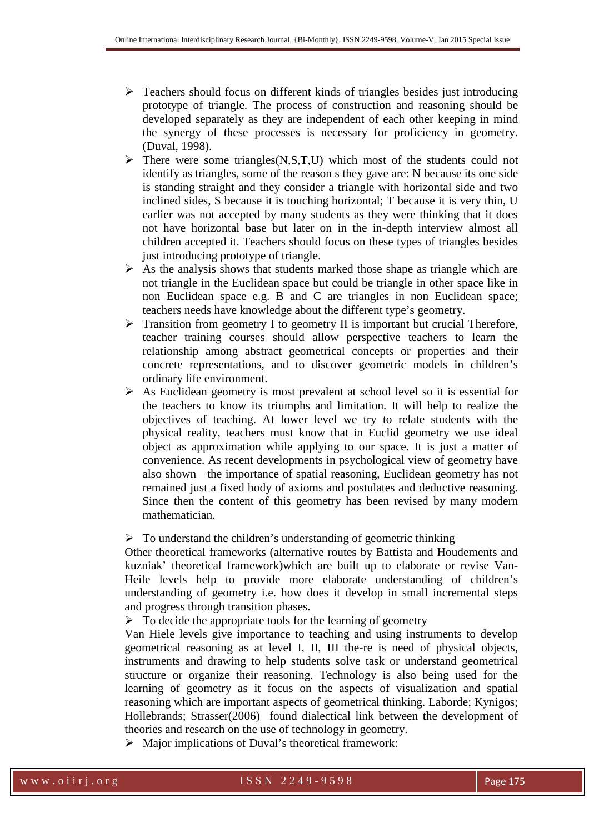- Teachers should focus on different kinds of triangles besides just introducing prototype of triangle. The process of construction and reasoning should be developed separately as they are independent of each other keeping in mind the synergy of these processes is necessary for proficiency in geometry. (Duval, 1998).
- $\triangleright$  There were some triangles(N,S,T,U) which most of the students could not identify as triangles, some of the reason s they gave are: N because its one side is standing straight and they consider a triangle with horizontal side and two inclined sides, S because it is touching horizontal; T because it is very thin, U earlier was not accepted by many students as they were thinking that it does not have horizontal base but later on in the in-depth interview almost all children accepted it. Teachers should focus on these types of triangles besides just introducing prototype of triangle.
- $\triangleright$  As the analysis shows that students marked those shape as triangle which are not triangle in the Euclidean space but could be triangle in other space like in non Euclidean space e.g. B and C are triangles in non Euclidean space; teachers needs have knowledge about the different type's geometry.
- $\triangleright$  Transition from geometry I to geometry II is important but crucial Therefore, teacher training courses should allow perspective teachers to learn the relationship among abstract geometrical concepts or properties and their concrete representations, and to discover geometric models in children's ordinary life environment.
- $\triangleright$  As Euclidean geometry is most prevalent at school level so it is essential for the teachers to know its triumphs and limitation. It will help to realize the objectives of teaching. At lower level we try to relate students with the physical reality, teachers must know that in Euclid geometry we use ideal object as approximation while applying to our space. It is just a matter of convenience. As recent developments in psychological view of geometry have also shown the importance of spatial reasoning, Euclidean geometry has not remained just a fixed body of axioms and postulates and deductive reasoning. Since then the content of this geometry has been revised by many modern mathematician.

#### $\triangleright$  To understand the children's understanding of geometric thinking

Other theoretical frameworks (alternative routes by Battista and Houdements and kuzniak' theoretical framework)which are built up to elaborate or revise Van-Heile levels help to provide more elaborate understanding of children's understanding of geometry i.e. how does it develop in small incremental steps and progress through transition phases.

 $\triangleright$  To decide the appropriate tools for the learning of geometry

Van Hiele levels give importance to teaching and using instruments to develop geometrical reasoning as at level I, II, III the-re is need of physical objects, instruments and drawing to help students solve task or understand geometrical structure or organize their reasoning. Technology is also being used for the learning of geometry as it focus on the aspects of visualization and spatial reasoning which are important aspects of geometrical thinking. Laborde; Kynigos; Hollebrands; Strasser(2006) found dialectical link between the development of theories and research on the use of technology in geometry.

 $\triangleright$  Major implications of Duval's theoretical framework: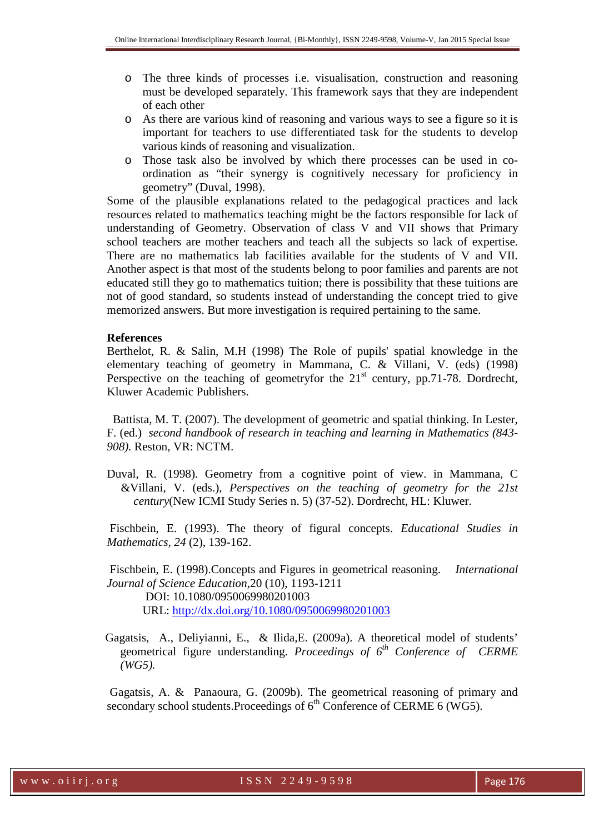- o The three kinds of processes i.e. visualisation, construction and reasoning must be developed separately. This framework says that they are independent of each other
- o As there are various kind of reasoning and various ways to see a figure so it is important for teachers to use differentiated task for the students to develop various kinds of reasoning and visualization.
- o Those task also be involved by which there processes can be used in coordination as "their synergy is cognitively necessary for proficiency in geometry" (Duval, 1998).

Some of the plausible explanations related to the pedagogical practices and lack resources related to mathematics teaching might be the factors responsible for lack of understanding of Geometry. Observation of class V and VII shows that Primary school teachers are mother teachers and teach all the subjects so lack of expertise. There are no mathematics lab facilities available for the students of V and VII. Another aspect is that most of the students belong to poor families and parents are not educated still they go to mathematics tuition; there is possibility that these tuitions are not of good standard, so students instead of understanding the concept tried to give memorized answers. But more investigation is required pertaining to the same.

#### **References**

Berthelot, R. & Salin, M.H (1998) The Role of pupils' spatial knowledge in the elementary teaching of geometry in Mammana, C. & Villani, V. (eds) (1998) Perspective on the teaching of geometryfor the  $21<sup>st</sup>$  century, pp.71-78. Dordrecht, Kluwer Academic Publishers.

 Battista, M. T. (2007). The development of geometric and spatial thinking. In Lester, F. (ed.) *second handbook of research in teaching and learning in Mathematics (843- 908).* Reston, VR: NCTM.

Duval, R. (1998). Geometry from a cognitive point of view. in Mammana, C &Villani, V. (eds.), *Perspectives on the teaching of geometry for the 21st century*(New ICMI Study Series n. 5) (37-52). Dordrecht, HL: Kluwer.

 Fischbein, E. (1993). The theory of figural concepts. *Educational Studies in Mathematics, 24* (2), 139-162.

 Fischbein, E. (1998).Concepts and Figures in geometrical reasoning. *International Journal of Science Education,*20 (10), 1193-1211

 DOI: 10.1080/0950069980201003 URL: http://dx.doi.org/10.1080/0950069980201003

 Gagatsis, A., Deliyianni, E., & Ilida,E. (2009a). A theoretical model of students' geometrical figure understanding. *Proceedings of 6th Conference of CERME (WG5).* 

 Gagatsis, A. & Panaoura, G. (2009b). The geometrical reasoning of primary and secondary school students. Proceedings of  $6<sup>th</sup>$  Conference of CERME 6 (WG5).